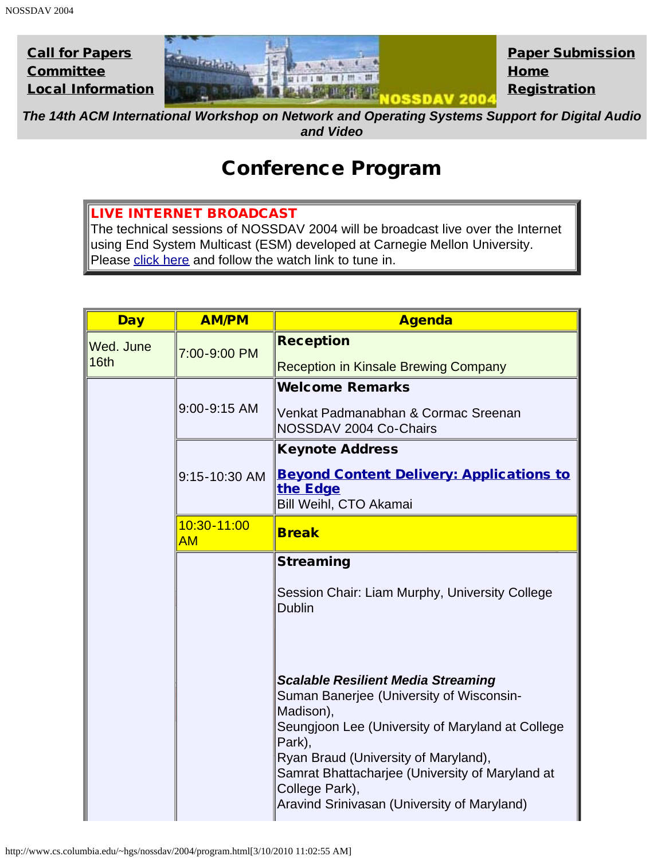

*The 14th ACM International Workshop on Network and Operating Systems Support for Digital Audio and Video*

## Conference Program

## LIVE INTERNET BROADCAST

The technical sessions of NOSSDAV 2004 will be broadcast live over the Internet using End System Multicast (ESM) developed at Carnegie Mellon University. Please [click here](http://esm.cs.cmu.edu/) and follow the watch link to tune in.

| <b>Day</b>        | <b>AM/PM</b>      | <b>Agenda</b>                                                                                                                                                                                                                                                                                                                |
|-------------------|-------------------|------------------------------------------------------------------------------------------------------------------------------------------------------------------------------------------------------------------------------------------------------------------------------------------------------------------------------|
| Wed. June<br>16th | 7:00-9:00 PM      | <b>Reception</b>                                                                                                                                                                                                                                                                                                             |
|                   |                   | <b>Reception in Kinsale Brewing Company</b>                                                                                                                                                                                                                                                                                  |
|                   | 9:00-9:15 AM      | <b>Welcome Remarks</b>                                                                                                                                                                                                                                                                                                       |
|                   |                   | Venkat Padmanabhan & Cormac Sreenan<br>NOSSDAV 2004 Co-Chairs                                                                                                                                                                                                                                                                |
|                   |                   | <b>Keynote Address</b>                                                                                                                                                                                                                                                                                                       |
|                   | 9:15-10:30 AM     | <b>Beyond Content Delivery: Applications to</b><br>the Edge<br>Bill Weihl, CTO Akamai                                                                                                                                                                                                                                        |
|                   | 10:30-11:00<br>AM | <b>Break</b>                                                                                                                                                                                                                                                                                                                 |
|                   |                   | <b>Streaming</b>                                                                                                                                                                                                                                                                                                             |
|                   |                   | Session Chair: Liam Murphy, University College<br><b>Dublin</b>                                                                                                                                                                                                                                                              |
|                   |                   | <b>Scalable Resilient Media Streaming</b><br>Suman Banerjee (University of Wisconsin-<br>Madison),<br>Seungjoon Lee (University of Maryland at College<br>Park),<br>Ryan Braud (University of Maryland),<br>Samrat Bhattacharjee (University of Maryland at<br>College Park),<br>Aravind Srinivasan (University of Maryland) |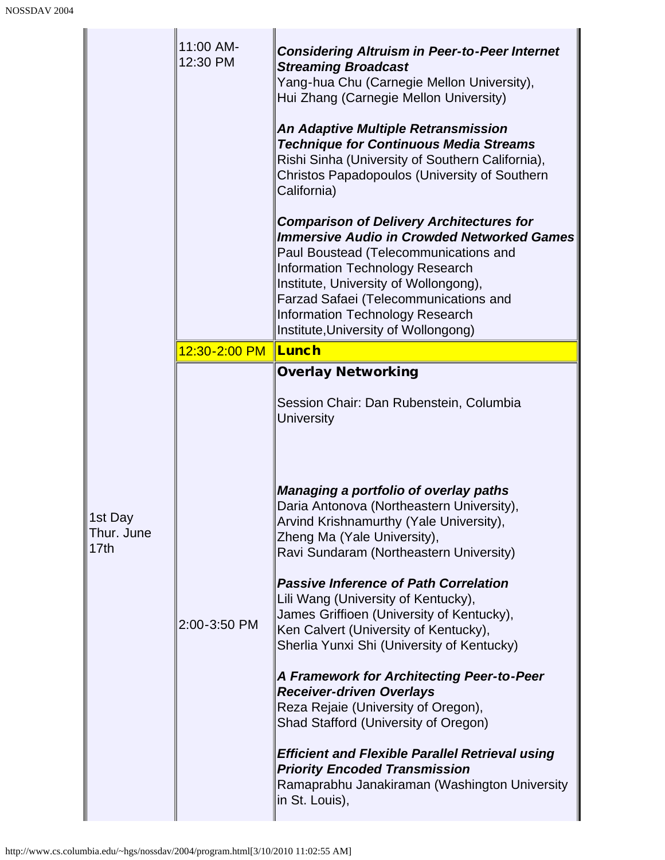|                                           | 11:00 AM-<br>12:30 PM | <b>Considering Altruism in Peer-to-Peer Internet</b><br><b>Streaming Broadcast</b><br>Yang-hua Chu (Carnegie Mellon University),<br>Hui Zhang (Carnegie Mellon University)<br><b>An Adaptive Multiple Retransmission</b><br><b>Technique for Continuous Media Streams</b><br>Rishi Sinha (University of Southern California),<br><b>Christos Papadopoulos (University of Southern</b><br>California)<br><b>Comparison of Delivery Architectures for</b><br><b>Immersive Audio in Crowded Networked Games</b><br>Paul Boustead (Telecommunications and<br><b>Information Technology Research</b><br>Institute, University of Wollongong),<br>Farzad Safaei (Telecommunications and<br><b>Information Technology Research</b><br>Institute, University of Wollongong)                                                                                                        |
|-------------------------------------------|-----------------------|----------------------------------------------------------------------------------------------------------------------------------------------------------------------------------------------------------------------------------------------------------------------------------------------------------------------------------------------------------------------------------------------------------------------------------------------------------------------------------------------------------------------------------------------------------------------------------------------------------------------------------------------------------------------------------------------------------------------------------------------------------------------------------------------------------------------------------------------------------------------------|
|                                           | 12:30-2:00 PM         | <b>Lunch</b>                                                                                                                                                                                                                                                                                                                                                                                                                                                                                                                                                                                                                                                                                                                                                                                                                                                               |
| 1st Day<br>Thur. June<br>17 <sub>th</sub> | 2:00-3:50 PM          | <b>Overlay Networking</b><br>Session Chair: Dan Rubenstein, Columbia<br><b>University</b><br><b>Managing a portfolio of overlay paths</b><br>Daria Antonova (Northeastern University),<br>Arvind Krishnamurthy (Yale University),<br>Zheng Ma (Yale University),<br>Ravi Sundaram (Northeastern University)<br><b>Passive Inference of Path Correlation</b><br>Lili Wang (University of Kentucky),<br>James Griffioen (University of Kentucky),<br>Ken Calvert (University of Kentucky),<br>Sherlia Yunxi Shi (University of Kentucky)<br>A Framework for Architecting Peer-to-Peer<br><b>Receiver-driven Overlays</b><br>Reza Rejaie (University of Oregon),<br>Shad Stafford (University of Oregon)<br><b>Efficient and Flexible Parallel Retrieval using</b><br><b>Priority Encoded Transmission</b><br>Ramaprabhu Janakiraman (Washington University<br>in St. Louis), |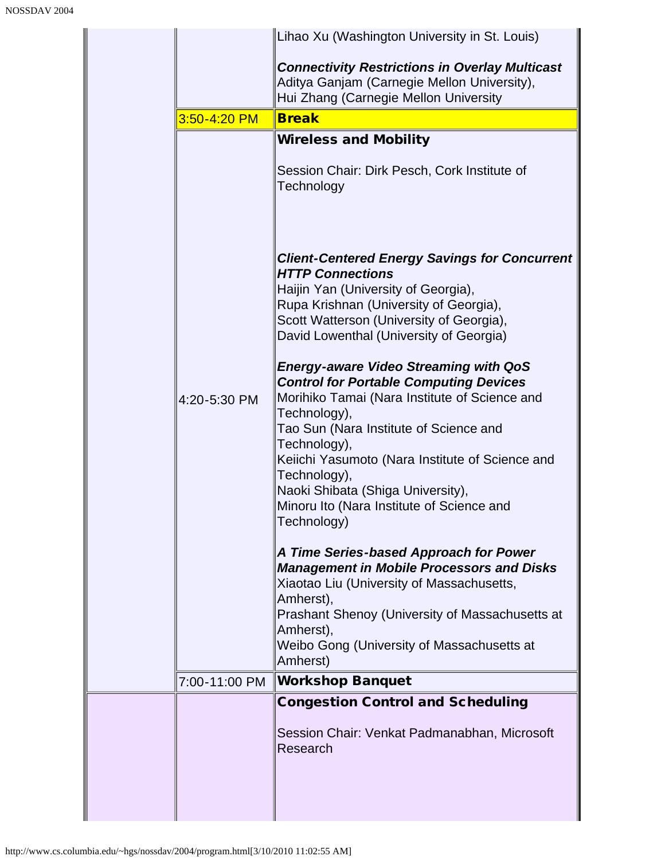|               | Lihao Xu (Washington University in St. Louis)                                                                                                                                                                                                                                                                                                                                                                                                                                                                                                                                                                                                                                                                                                                                                                                                                                                                                                                                                                                                  |
|---------------|------------------------------------------------------------------------------------------------------------------------------------------------------------------------------------------------------------------------------------------------------------------------------------------------------------------------------------------------------------------------------------------------------------------------------------------------------------------------------------------------------------------------------------------------------------------------------------------------------------------------------------------------------------------------------------------------------------------------------------------------------------------------------------------------------------------------------------------------------------------------------------------------------------------------------------------------------------------------------------------------------------------------------------------------|
|               | <b>Connectivity Restrictions in Overlay Multicast</b><br>Aditya Ganjam (Carnegie Mellon University),<br>Hui Zhang (Carnegie Mellon University                                                                                                                                                                                                                                                                                                                                                                                                                                                                                                                                                                                                                                                                                                                                                                                                                                                                                                  |
| 3:50-4:20 PM  | <b>Break</b>                                                                                                                                                                                                                                                                                                                                                                                                                                                                                                                                                                                                                                                                                                                                                                                                                                                                                                                                                                                                                                   |
| 4:20-5:30 PM  | <b>Wireless and Mobility</b><br>Session Chair: Dirk Pesch, Cork Institute of<br>Technology<br><b>Client-Centered Energy Savings for Concurrent</b><br><b>HTTP Connections</b><br>Haijin Yan (University of Georgia),<br>Rupa Krishnan (University of Georgia),<br>Scott Watterson (University of Georgia),<br>David Lowenthal (University of Georgia)<br><b>Energy-aware Video Streaming with QoS</b><br><b>Control for Portable Computing Devices</b><br>Morihiko Tamai (Nara Institute of Science and<br>Technology),<br>Tao Sun (Nara Institute of Science and<br>Technology),<br>Keiichi Yasumoto (Nara Institute of Science and<br>Technology),<br>Naoki Shibata (Shiga University),<br>Minoru Ito (Nara Institute of Science and<br>Technology)<br>A Time Series-based Approach for Power<br><b>Management in Mobile Processors and Disks</b><br>Xiaotao Liu (University of Massachusetts,<br>Amherst),<br><b>Prashant Shenoy (University of Massachusetts at</b><br>Amherst),<br>Weibo Gong (University of Massachusetts at<br>Amherst) |
| 7:00-11:00 PM | <b>Workshop Banquet</b>                                                                                                                                                                                                                                                                                                                                                                                                                                                                                                                                                                                                                                                                                                                                                                                                                                                                                                                                                                                                                        |
|               | <b>Congestion Control and Scheduling</b><br>Session Chair: Venkat Padmanabhan, Microsoft<br>Research                                                                                                                                                                                                                                                                                                                                                                                                                                                                                                                                                                                                                                                                                                                                                                                                                                                                                                                                           |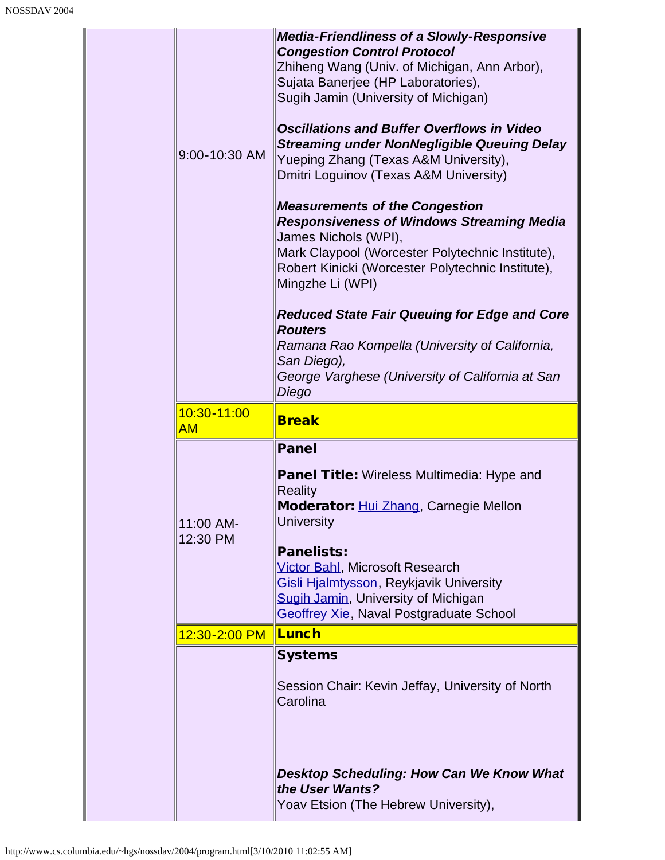|  | 9:00-10:30 AM         | <b>Media-Friendliness of a Slowly-Responsive</b><br><b>Congestion Control Protocol</b><br>Zhiheng Wang (Univ. of Michigan, Ann Arbor),<br>Sujata Banerjee (HP Laboratories),<br>Sugih Jamin (University of Michigan)<br><b>Oscillations and Buffer Overflows in Video</b><br><b>Streaming under NonNegligible Queuing Delay</b><br>Yueping Zhang (Texas A&M University),<br>Dmitri Loguinov (Texas A&M University)<br><b>Measurements of the Congestion</b><br><b>Responsiveness of Windows Streaming Media</b><br>James Nichols (WPI),<br>Mark Claypool (Worcester Polytechnic Institute),<br>Robert Kinicki (Worcester Polytechnic Institute),<br>Mingzhe Li (WPI)<br><b>Reduced State Fair Queuing for Edge and Core</b><br><b>Routers</b><br>Ramana Rao Kompella (University of California,<br>San Diego),<br>George Varghese (University of California at San<br>Diego |
|--|-----------------------|-----------------------------------------------------------------------------------------------------------------------------------------------------------------------------------------------------------------------------------------------------------------------------------------------------------------------------------------------------------------------------------------------------------------------------------------------------------------------------------------------------------------------------------------------------------------------------------------------------------------------------------------------------------------------------------------------------------------------------------------------------------------------------------------------------------------------------------------------------------------------------|
|  | 10:30-11:00<br>AM     | <b>Break</b>                                                                                                                                                                                                                                                                                                                                                                                                                                                                                                                                                                                                                                                                                                                                                                                                                                                                |
|  | 11:00 AM-<br>12:30 PM | <b>Panel</b><br><b>Panel Title: Wireless Multimedia: Hype and</b><br><b>Reality</b><br>Moderator: Hui Zhang, Carnegie Mellon<br><b>University</b><br><b>Panelists:</b><br><b>Victor Bahl, Microsoft Research</b><br>Gisli Hjalmtysson, Reykjavik University<br><b>Sugih Jamin, University of Michigan</b><br>Geoffrey Xie, Naval Postgraduate School                                                                                                                                                                                                                                                                                                                                                                                                                                                                                                                        |
|  | 12:30-2:00 PM         | Lunch                                                                                                                                                                                                                                                                                                                                                                                                                                                                                                                                                                                                                                                                                                                                                                                                                                                                       |
|  |                       | <b>Systems</b><br>Session Chair: Kevin Jeffay, University of North<br>Carolina<br><b>Desktop Scheduling: How Can We Know What</b>                                                                                                                                                                                                                                                                                                                                                                                                                                                                                                                                                                                                                                                                                                                                           |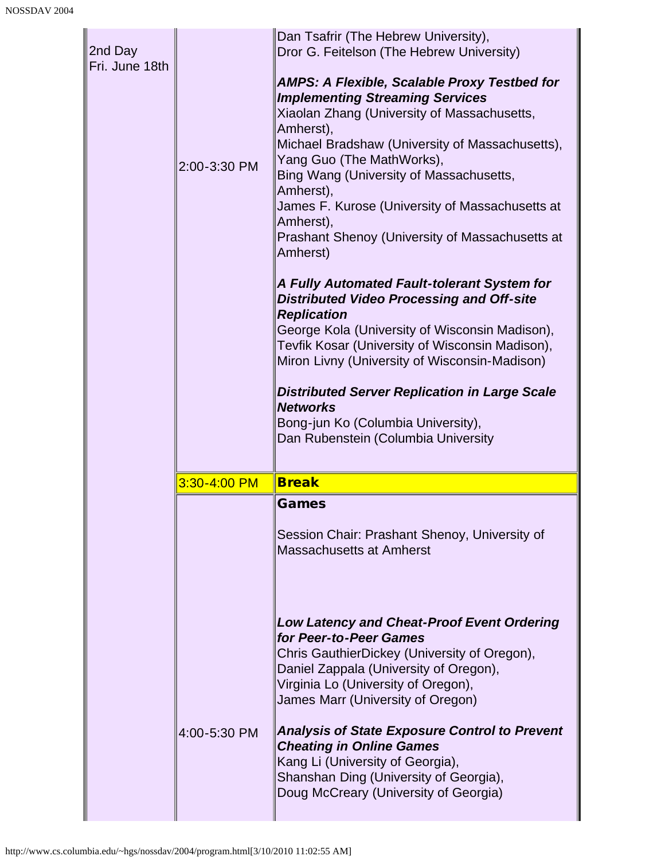| 2nd Day<br>Fri. June 18th | 2:00-3:30 PM | Dan Tsafrir (The Hebrew University),<br>Dror G. Feitelson (The Hebrew University)<br><b>AMPS: A Flexible, Scalable Proxy Testbed for</b><br><b>Implementing Streaming Services</b><br>Xiaolan Zhang (University of Massachusetts,<br>Amherst),<br>Michael Bradshaw (University of Massachusetts),<br>Yang Guo (The MathWorks),<br>Bing Wang (University of Massachusetts,<br>Amherst),<br>James F. Kurose (University of Massachusetts at<br>Amherst),<br>Prashant Shenoy (University of Massachusetts at<br>Amherst)<br>A Fully Automated Fault-tolerant System for<br><b>Distributed Video Processing and Off-site</b><br><b>Replication</b><br>George Kola (University of Wisconsin Madison),<br>Tevfik Kosar (University of Wisconsin Madison),<br>Miron Livny (University of Wisconsin-Madison)<br><b>Distributed Server Replication in Large Scale</b><br><b>Networks</b><br>Bong-jun Ko (Columbia University),<br>Dan Rubenstein (Columbia University |
|---------------------------|--------------|--------------------------------------------------------------------------------------------------------------------------------------------------------------------------------------------------------------------------------------------------------------------------------------------------------------------------------------------------------------------------------------------------------------------------------------------------------------------------------------------------------------------------------------------------------------------------------------------------------------------------------------------------------------------------------------------------------------------------------------------------------------------------------------------------------------------------------------------------------------------------------------------------------------------------------------------------------------|
|                           | 3:30-4:00 PM | <b>Break</b>                                                                                                                                                                                                                                                                                                                                                                                                                                                                                                                                                                                                                                                                                                                                                                                                                                                                                                                                                 |
|                           |              | Games<br>Session Chair: Prashant Shenoy, University of<br><b>Massachusetts at Amherst</b>                                                                                                                                                                                                                                                                                                                                                                                                                                                                                                                                                                                                                                                                                                                                                                                                                                                                    |
|                           |              | <b>Low Latency and Cheat-Proof Event Ordering</b><br>for Peer-to-Peer Games<br>Chris GauthierDickey (University of Oregon),<br>Daniel Zappala (University of Oregon),<br>Virginia Lo (University of Oregon),<br>James Marr (University of Oregon)                                                                                                                                                                                                                                                                                                                                                                                                                                                                                                                                                                                                                                                                                                            |
|                           | 4:00-5:30 PM | <b>Analysis of State Exposure Control to Prevent</b><br><b>Cheating in Online Games</b><br>Kang Li (University of Georgia),<br>Shanshan Ding (University of Georgia),<br>Doug McCreary (University of Georgia)                                                                                                                                                                                                                                                                                                                                                                                                                                                                                                                                                                                                                                                                                                                                               |